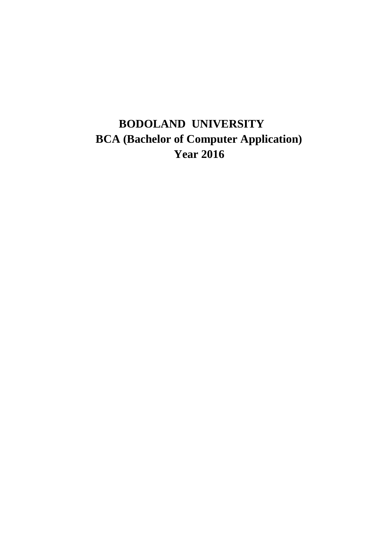# **BODOLAND UNIVERSITY BCA (Bachelor of Computer Application) Year 2016**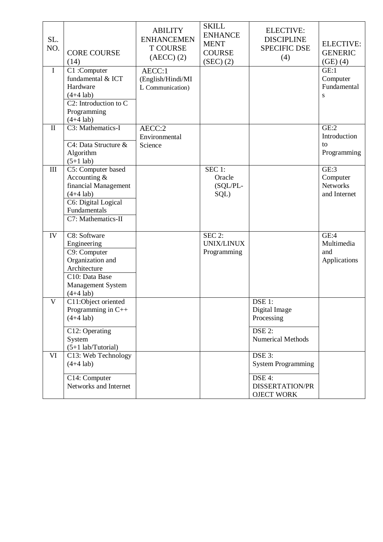| SL.<br>NO.   | <b>CORE COURSE</b><br>(14)                                                                                                             | <b>ABILITY</b><br><b>ENHANCEMEN</b><br><b>T COURSE</b><br>$(AECC)$ $(2)$ | <b>SKILL</b><br><b>ENHANCE</b><br><b>MENT</b><br><b>COURSE</b><br>(SEC) (2) | <b>ELECTIVE:</b><br><b>DISCIPLINE</b><br><b>SPECIFIC DSE</b><br>(4)                          | <b>ELECTIVE:</b><br><b>GENERIC</b><br>(GE)(4)       |
|--------------|----------------------------------------------------------------------------------------------------------------------------------------|--------------------------------------------------------------------------|-----------------------------------------------------------------------------|----------------------------------------------------------------------------------------------|-----------------------------------------------------|
| $\mathbf I$  | C1:Computer<br>fundamental & ICT<br>Hardware<br>$(4+4$ lab)<br>$C2$ : Introduction to $C$<br>Programming<br>$(4+4$ lab)                | AECC:1<br>(English/Hindi/MI<br>L Communication)                          |                                                                             |                                                                                              | GE:1<br>Computer<br>Fundamental<br>S                |
| $\mathbf{I}$ | C3: Mathematics-I<br>C4: Data Structure &<br>Algorithm<br>$(5+1$ lab)                                                                  | AECC:2<br>Environmental<br>Science                                       |                                                                             |                                                                                              | GE:2<br>Introduction<br>to<br>Programming           |
| III          | C5: Computer based<br>Accounting &<br>financial Management<br>$(4+4$ lab)<br>C6: Digital Logical<br>Fundamentals<br>C7: Mathematics-II |                                                                          | $SEC$ 1:<br>Oracle<br>(SQL/PL-<br>SQL)                                      |                                                                                              | GE:3<br>Computer<br><b>Networks</b><br>and Internet |
| IV           | C8: Software<br>Engineering<br>C9: Computer<br>Organization and<br>Architecture<br>C10: Data Base<br>Management System<br>$(4+4$ lab)  |                                                                          | SEC 2:<br><b>UNIX/LINUX</b><br>Programming                                  |                                                                                              | GE:4<br>Multimedia<br>and<br>Applications           |
| V            | C11:Object oriented<br>Programming in C++<br>$(4+4$ lab)<br>C12: Operating<br>System<br>$(5+1$ lab/Tutorial)                           |                                                                          |                                                                             | DSE 1:<br>Digital Image<br>Processing<br>DSE <sub>2:</sub><br><b>Numerical Methods</b>       |                                                     |
| VI           | C13: Web Technology<br>$(4+4$ lab)<br>C14: Computer<br>Networks and Internet                                                           |                                                                          |                                                                             | DSE 3:<br><b>System Programming</b><br>DSE 4:<br><b>DISSERTATION/PR</b><br><b>OJECT WORK</b> |                                                     |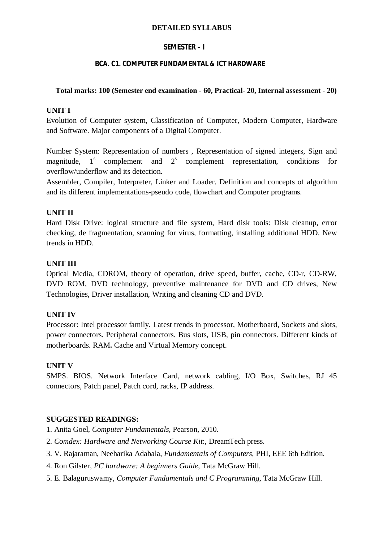#### **DETAILED SYLLABUS**

## **SEMESTER – I**

## **BCA. C1. COMPUTER FUNDAMENTAL & ICT HARDWARE**

## **Total marks: 100 (Semester end examination - 60, Practical- 20, Internal assessment - 20)**

## **UNIT I**

Evolution of Computer system, Classification of Computer, Modern Computer, Hardware and Software. Major components of a Digital Computer.

Number System: Representation of numbers , Representation of signed integers, Sign and magnitude,  $1<sup>s</sup>$ complement and  $2<sup>s</sup>$  complement representation, conditions for overflow/underflow and its detection.

Assembler, Compiler, Interpreter, Linker and Loader. Definition and concepts of algorithm and its different implementations-pseudo code, flowchart and Computer programs.

## **UNIT II**

Hard Disk Drive: logical structure and file system, Hard disk tools: Disk cleanup, error checking, de fragmentation, scanning for virus, formatting, installing additional HDD. New trends in HDD.

## **UNIT III**

Optical Media, CDROM, theory of operation, drive speed, buffer, cache, CD-r, CD-RW, DVD ROM, DVD technology, preventive maintenance for DVD and CD drives, New Technologies, Driver installation, Writing and cleaning CD and DVD.

## **UNIT IV**

Processor: Intel processor family. Latest trends in processor, Motherboard, Sockets and slots, power connectors. Peripheral connectors. Bus slots, USB, pin connectors. Different kinds of motherboards. RAM**.** Cache and Virtual Memory concept.

## **UNIT V**

SMPS. BIOS. Network Interface Card, network cabling, I/O Box, Switches, RJ 45 connectors, Patch panel, Patch cord, racks, IP address.

## **SUGGESTED READINGS:**

- 1. Anita Goel, *Computer Fundamentals*, Pearson, 2010.
- 2. *Comdex: Hardware and Networking Course Kit*:, DreamTech press.
- 3. V. Rajaraman, Neeharika Adabala, *Fundamentals of Computers*, PHI, EEE 6th Edition.
- 4. Ron Gilster*, PC hardware: A beginners Guide*, Tata McGraw Hill.
- 5. E. Balaguruswamy, *Computer Fundamentals and C Programming*, Tata McGraw Hill.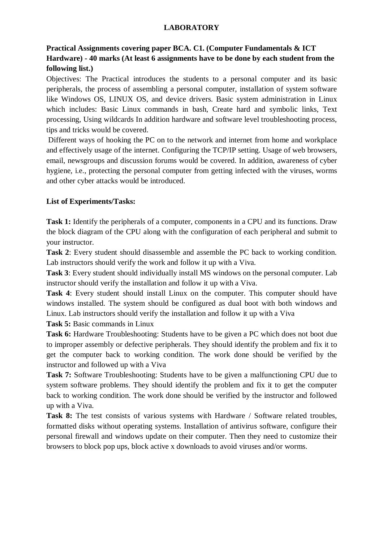## **LABORATORY**

# **Practical Assignments covering paper BCA. C1. (Computer Fundamentals & ICT Hardware) - 40 marks (At least 6 assignments have to be done by each student from the following list.)**

Objectives: The Practical introduces the students to a personal computer and its basic peripherals, the process of assembling a personal computer, installation of system software like Windows OS, LINUX OS, and device drivers. Basic system administration in Linux which includes: Basic Linux commands in bash, Create hard and symbolic links, Text processing, Using wildcards In addition hardware and software level troubleshooting process, tips and tricks would be covered.

Different ways of hooking the PC on to the network and internet from home and workplace and effectively usage of the internet. Configuring the TCP/IP setting. Usage of web browsers, email, newsgroups and discussion forums would be covered. In addition, awareness of cyber hygiene, i.e., protecting the personal computer from getting infected with the viruses, worms and other cyber attacks would be introduced.

## **List of Experiments/Tasks:**

**Task 1:** Identify the peripherals of a computer, components in a CPU and its functions. Draw the block diagram of the CPU along with the configuration of each peripheral and submit to your instructor.

**Task 2**: Every student should disassemble and assemble the PC back to working condition. Lab instructors should verify the work and follow it up with a Viva.

**Task 3**: Every student should individually install MS windows on the personal computer. Lab instructor should verify the installation and follow it up with a Viva.

**Task 4**: Every student should install Linux on the computer. This computer should have windows installed. The system should be configured as dual boot with both windows and Linux. Lab instructors should verify the installation and follow it up with a Viva

**Task 5:** Basic commands in Linux

**Task 6:** Hardware Troubleshooting: Students have to be given a PC which does not boot due to improper assembly or defective peripherals. They should identify the problem and fix it to get the computer back to working condition. The work done should be verified by the instructor and followed up with a Viva

**Task 7:** Software Troubleshooting: Students have to be given a malfunctioning CPU due to system software problems. They should identify the problem and fix it to get the computer back to working condition. The work done should be verified by the instructor and followed up with a Viva.

**Task 8:** The test consists of various systems with Hardware / Software related troubles, formatted disks without operating systems. Installation of antivirus software, configure their personal firewall and windows update on their computer. Then they need to customize their browsers to block pop ups, block active x downloads to avoid viruses and/or worms.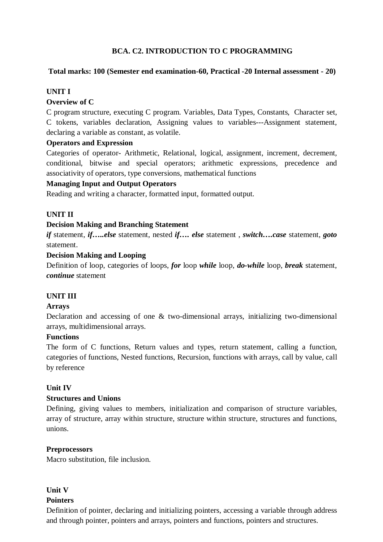## **BCA. C2. INTRODUCTION TO C PROGRAMMING**

## **Total marks: 100 (Semester end examination-60, Practical -20 Internal assessment - 20)**

## **UNIT I**

#### **Overview of C**

C program structure, executing C program. Variables, Data Types, Constants, Character set, C tokens, variables declaration, Assigning values to variables---Assignment statement, declaring a variable as constant, as volatile.

## **Operators and Expression**

Categories of operator- Arithmetic, Relational, logical, assignment, increment, decrement*,*  conditional, bitwise and special operators; arithmetic expressions, precedence and associativity of operators, type conversions, mathematical functions

## **Managing Input and Output Operators**

Reading and writing a character, formatted input, formatted output.

## **UNIT II**

## **Decision Making and Branching Statement**

*if* statement, *if…..else* statement, nested *if…. else* statement , *switch….case* statement, *goto*  statement.

## **Decision Making and Looping**

Definition of loop, categories of loops, *for* loop *while* loop, *do-while* loop, *break* statement, *continue* statement

#### **UNIT III**

#### **Arrays**

Declaration and accessing of one & two-dimensional arrays, initializing two-dimensional arrays, multidimensional arrays.

#### **Functions**

The form of C functions, Return values and types, return statement, calling a function, categories of functions, Nested functions, Recursion, functions with arrays, call by value, call by reference

#### **Unit IV**

#### **Structures and Unions**

Defining, giving values to members, initialization and comparison of structure variables, array of structure, array within structure, structure within structure, structures and functions, unions.

## **Preprocessors**

Macro substitution, file inclusion.

## **Unit V**

#### **Pointers**

Definition of pointer, declaring and initializing pointers, accessing a variable through address and through pointer, pointers and arrays, pointers and functions, pointers and structures.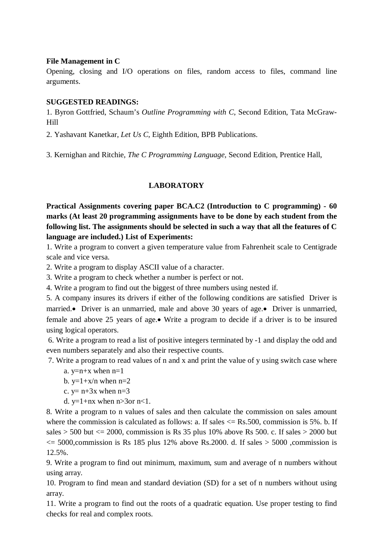## **File Management in C**

Opening, closing and I/O operations on files, random access to files, command line arguments.

## **SUGGESTED READINGS:**

1. Byron Gottfried, Schaum's *Outline Programming with C*, Second Edition, Tata McGraw-Hill

2. Yashavant Kanetkar, *Let Us C*, Eighth Edition, BPB Publications.

3. Kernighan and Ritchie, *The C Programming Language*, Second Edition, Prentice Hall,

# **LABORATORY**

**Practical Assignments covering paper BCA.C2 (Introduction to C programming) - 60 marks (At least 20 programming assignments have to be done by each student from the following list. The assignments should be selected in such a way that all the features of C language are included.) List of Experiments:**

1. Write a program to convert a given temperature value from Fahrenheit scale to Centigrade scale and vice versa.

2. Write a program to display ASCII value of a character.

3. Write a program to check whether a number is perfect or not.

4. Write a program to find out the biggest of three numbers using nested if.

5. A company insures its drivers if either of the following conditions are satisfied Driver is married. Driver is an unmarried, male and above 30 years of age. Driver is unmarried, female and above 25 years of age.• Write a program to decide if a driver is to be insured using logical operators.

6. Write a program to read a list of positive integers terminated by -1 and display the odd and even numbers separately and also their respective counts.

7. Write a program to read values of n and x and print the value of y using switch case where

a.  $v=n+x$  when  $n=1$ 

b.  $y=1+x/n$  when  $n=2$ 

c.  $y= n+3x$  when  $n=3$ 

d.  $y=1+nx$  when  $n>3$ or  $n<1$ .

8. Write a program to n values of sales and then calculate the commission on sales amount where the commission is calculated as follows: a. If sales  $\leq$  Rs.500, commission is 5%. b. If sales  $>$  500 but  $\lt$  2000, commission is Rs 35 plus 10% above Rs 500. c. If sales  $>$  2000 but  $\epsilon$  = 5000, commission is Rs 185 plus 12% above Rs. 2000. d. If sales > 5000, commission is 12.5%.

9. Write a program to find out minimum, maximum, sum and average of n numbers without using array.

10. Program to find mean and standard deviation (SD) for a set of n numbers without using array.

11. Write a program to find out the roots of a quadratic equation. Use proper testing to find checks for real and complex roots.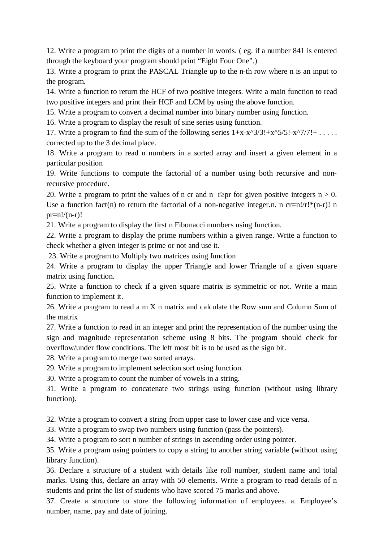12. Write a program to print the digits of a number in words. ( eg. if a number 841 is entered through the keyboard your program should print "Eight Four One".)

13. Write a program to print the PASCAL Triangle up to the n-th row where n is an input to the program.

14. Write a function to return the HCF of two positive integers. Write a main function to read two positive integers and print their HCF and LCM by using the above function.

15. Write a program to convert a decimal number into binary number using function.

16. Write a program to display the result of sine series using function.

17. Write a program to find the sum of the following series  $1+x-x^2/3!+x^2/5!-x^2/7!+...$ corrected up to the 3 decimal place.

18. Write a program to read n numbers in a sorted array and insert a given element in a particular position

19. Write functions to compute the factorial of a number using both recursive and nonrecursive procedure.

20. Write a program to print the values of n cr and n r $\geq$ pr for given positive integers n > 0. Use a function fact(n) to return the factorial of a non-negative integer.n. n cr=n!/r!\*(n-r)! n  $pr=n!/(n-r)!$ 

21. Write a program to display the first n Fibonacci numbers using function.

22. Write a program to display the prime numbers within a given range. Write a function to check whether a given integer is prime or not and use it.

23. Write a program to Multiply two matrices using function

24. Write a program to display the upper Triangle and lower Triangle of a given square matrix using function.

25. Write a function to check if a given square matrix is symmetric or not. Write a main function to implement it.

26. Write a program to read a m X n matrix and calculate the Row sum and Column Sum of the matrix

27. Write a function to read in an integer and print the representation of the number using the sign and magnitude representation scheme using 8 bits. The program should check for overflow/under flow conditions. The left most bit is to be used as the sign bit.

28. Write a program to merge two sorted arrays.

29. Write a program to implement selection sort using function.

30. Write a program to count the number of vowels in a string.

31. Write a program to concatenate two strings using function (without using library function).

32. Write a program to convert a string from upper case to lower case and vice versa.

33. Write a program to swap two numbers using function (pass the pointers).

34. Write a program to sort n number of strings in ascending order using pointer.

35. Write a program using pointers to copy a string to another string variable (without using library function).

36. Declare a structure of a student with details like roll number, student name and total marks. Using this, declare an array with 50 elements. Write a program to read details of n students and print the list of students who have scored 75 marks and above.

37. Create a structure to store the following information of employees. a. Employee's number, name, pay and date of joining.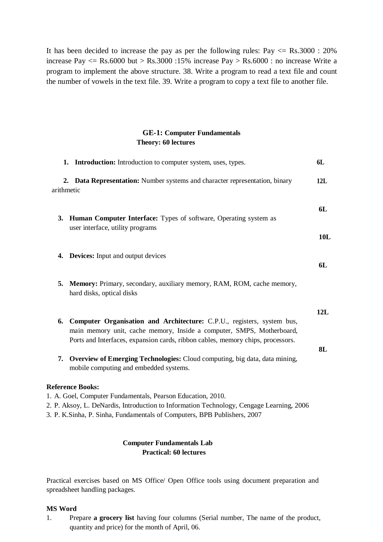It has been decided to increase the pay as per the following rules:  $Pay < = Rs.3000 : 20\%$ increase Pay  $\leq$  Rs.6000 but > Rs.3000 :15% increase Pay > Rs.6000 : no increase Write a program to implement the above structure. 38. Write a program to read a text file and count the number of vowels in the text file. 39. Write a program to copy a text file to another file.

## **GE-1: Computer Fundamentals Theory: 60 lectures**

|            | 1. Introduction: Introduction to computer system, uses, types.                                                                                                                                                                                                 | 6L        |  |
|------------|----------------------------------------------------------------------------------------------------------------------------------------------------------------------------------------------------------------------------------------------------------------|-----------|--|
| arithmetic | 2. Data Representation: Number systems and character representation, binary                                                                                                                                                                                    | 12L       |  |
|            | 3. Human Computer Interface: Types of software, Operating system as<br>user interface, utility programs                                                                                                                                                        | 6L        |  |
|            |                                                                                                                                                                                                                                                                | 10L       |  |
|            | 4. Devices: Input and output devices                                                                                                                                                                                                                           | 6L        |  |
|            | 5. Memory: Primary, secondary, auxiliary memory, RAM, ROM, cache memory,<br>hard disks, optical disks                                                                                                                                                          |           |  |
|            | 6. Computer Organisation and Architecture: C.P.U., registers, system bus,<br>main memory unit, cache memory, Inside a computer, SMPS, Motherboard,<br>Ports and Interfaces, expansion cards, ribbon cables, memory chips, processors.                          | 12L<br>8L |  |
|            | 7. Overview of Emerging Technologies: Cloud computing, big data, data mining,<br>mobile computing and embedded systems.                                                                                                                                        |           |  |
|            | <b>Reference Books:</b><br>1. A. Goel, Computer Fundamentals, Pearson Education, 2010.<br>2. P. Aksoy, L. DeNardis, Introduction to Information Technology, Cengage Learning, 2006<br>3. P. K.Sinha, P. Sinha, Fundamentals of Computers, BPB Publishers, 2007 |           |  |
|            |                                                                                                                                                                                                                                                                |           |  |

## **Computer Fundamentals Lab Practical: 60 lectures**

Practical exercises based on MS Office/ Open Office tools using document preparation and spreadsheet handling packages.

#### **MS Word**

1. Prepare **a grocery list** having four columns (Serial number, The name of the product, quantity and price) for the month of April, 06.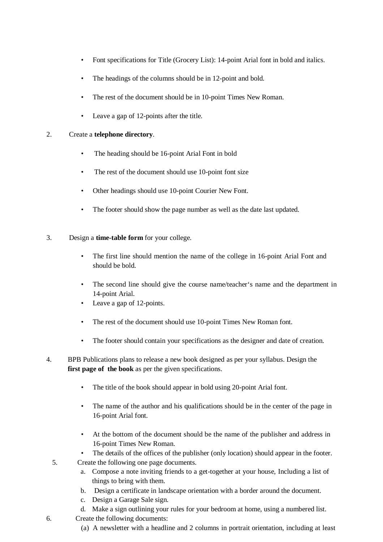- Font specifications for Title (Grocery List): 14-point Arial font in bold and italics.
- The headings of the columns should be in 12-point and bold.
- The rest of the document should be in 10-point Times New Roman.
- Leave a gap of 12-points after the title.

#### 2. Create a **telephone directory**.

- The heading should be 16-point Arial Font in bold
- The rest of the document should use 10-point font size
- Other headings should use 10-point Courier New Font.
- The footer should show the page number as well as the date last updated.
- 3. Design a **time-table form** for your college.
	- The first line should mention the name of the college in 16-point Arial Font and should be bold.
	- The second line should give the course name/teacher's name and the department in 14-point Arial.
	- Leave a gap of 12-points.
	- The rest of the document should use 10-point Times New Roman font.
	- The footer should contain your specifications as the designer and date of creation.
- 4. BPB Publications plans to release a new book designed as per your syllabus. Design the **first page of the book** as per the given specifications.
	- The title of the book should appear in bold using 20-point Arial font.
	- The name of the author and his qualifications should be in the center of the page in 16-point Arial font.
	- At the bottom of the document should be the name of the publisher and address in 16-point Times New Roman.
	- The details of the offices of the publisher (only location) should appear in the footer.
	- 5. Create the following one page documents.
		- a. Compose a note inviting friends to a get-together at your house, Including a list of things to bring with them.
		- b. Design a certificate in landscape orientation with a border around the document.
		- c. Design a Garage Sale sign.
		- d. Make a sign outlining your rules for your bedroom at home, using a numbered list.
- 6. Create the following documents:
	- (a) A newsletter with a headline and 2 columns in portrait orientation, including at least